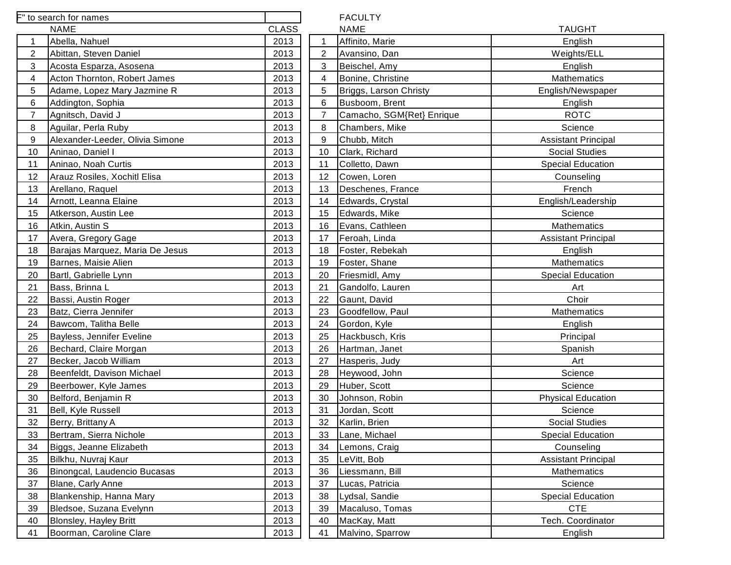| F" to search for names                |              |                | <b>FACULTY</b>            |                          |
|---------------------------------------|--------------|----------------|---------------------------|--------------------------|
| <b>NAME</b>                           | <b>CLASS</b> |                | <b>NAME</b>               | <b>TAUGHT</b>            |
| Abella, Nahuel<br>1                   | 2013         | $\mathbf{1}$   | Affinito, Marie           | English                  |
| 2<br>Abittan, Steven Daniel           | 2013         | $\overline{2}$ | Avansino, Dan             | Weights/ELL              |
| 3<br>Acosta Esparza, Asosena          | 2013         | 3              | Beischel, Amy             | English                  |
| Acton Thornton, Robert James<br>4     | 2013         | 4              | Bonine, Christine         | Mathematics              |
| 5<br>Adame, Lopez Mary Jazmine R      | 2013         | 5              | Briggs, Larson Christy    | English/Newspap          |
| 6<br>Addington, Sophia                | 2013         | 6              | Busboom, Brent            | English                  |
| $\overline{7}$<br>Agnitsch, David J   | 2013         | 7              | Camacho, SGM{Ret} Enrique | <b>ROTC</b>              |
| 8<br>Aguilar, Perla Ruby              | 2013         | 8              | Chambers, Mike            | Science                  |
| 9<br>Alexander-Leeder, Olivia Simone  | 2013         | 9              | Chubb, Mitch              | <b>Assistant Princip</b> |
| 10<br>Aninao, Daniel I                | 2013         | 10             | Clark, Richard            | <b>Social Studies</b>    |
| Aninao, Noah Curtis<br>11             | 2013         | 11             | Colletto, Dawn            | <b>Special Education</b> |
| 12<br>Arauz Rosiles, Xochitl Elisa    | 2013         | 12             | Cowen, Loren              | Counseling               |
| Arellano, Raquel<br>13                | 2013         | 13             | Deschenes, France         | French                   |
| Arnott, Leanna Elaine<br>14           | 2013         | 14             | Edwards, Crystal          | English/Leadersl         |
| 15<br>Atkerson, Austin Lee            | 2013         | 15             | Edwards, Mike             | Science                  |
| 16<br>Atkin, Austin S                 | 2013         | 16             | Evans, Cathleen           | Mathematics              |
| Avera, Gregory Gage<br>17             | 2013         | 17             | Feroah, Linda             | <b>Assistant Princip</b> |
| 18<br>Barajas Marquez, Maria De Jesus | 2013         | 18             | Foster, Rebekah           | English                  |
| 19<br>Barnes, Maisie Alien            | 2013         | 19             | Foster, Shane             | Mathematics              |
| 20<br>Bartl, Gabrielle Lynn           | 2013         | 20             | Friesmidl, Amy            | <b>Special Educatio</b>  |
| 21<br>Bass, Brinna L                  | 2013         | 21             | Gandolfo, Lauren          | Art                      |
| 22<br>Bassi, Austin Roger             | 2013         | 22             | Gaunt, David              | Choir                    |
| 23<br>Batz, Cierra Jennifer           | 2013         | 23             | Goodfellow, Paul          | <b>Mathematics</b>       |
| Bawcom, Talitha Belle<br>24           | 2013         | 24             | Gordon, Kyle              | English                  |
| 25<br>Bayless, Jennifer Eveline       | 2013         | 25             | Hackbusch, Kris           | Principal                |
| 26<br>Bechard, Claire Morgan          | 2013         | 26             | Hartman, Janet            | Spanish                  |
| 27<br>Becker, Jacob William           | 2013         | 27             | Hasperis, Judy            | Art                      |
| Beenfeldt, Davison Michael<br>28      | 2013         | 28             | Heywood, John             | Science                  |
| Beerbower, Kyle James<br>29           | 2013         | 29             | Huber, Scott              | Science                  |
| 30<br>Belford, Benjamin R             | 2013         | 30             | Johnson, Robin            | <b>Physical Educati</b>  |
| 31<br>Bell, Kyle Russell              | 2013         | 31             | Jordan, Scott             | Science                  |
| 32<br>Berry, Brittany A               | 2013         | 32             | Karlin, Brien             | <b>Social Studies</b>    |
| 33<br>Bertram, Sierra Nichole         | 2013         | 33             | Lane, Michael             | <b>Special Education</b> |
| 34<br>Biggs, Jeanne Elizabeth         | 2013         | 34             | Lemons, Craig             | Counseling               |
| 35<br>Bilkhu, Nuvraj Kaur             | 2013         | 35             | LeVitt, Bob               | <b>Assistant Princip</b> |
| 36<br>Binongcal, Laudencio Bucasas    | 2013         | 36             | Liessmann, Bill           | Mathematics              |
| 37<br>Blane, Carly Anne               | 2013         | 37             | Lucas, Patricia           | Science                  |
| 38<br>Blankenship, Hanna Mary         | 2013         | 38             | Lydsal, Sandie            | <b>Special Education</b> |
| 39<br>Bledsoe, Suzana Evelynn         | 2013         | 39             | Macaluso, Tomas           | <b>CTE</b>               |
| 40<br>Blonsley, Hayley Britt          | 2013         | 40             | MacKay, Matt              | Tech. Coordinat          |
| 41<br>Boorman, Caroline Clare         | 2013         | 41             | Malvino, Sparrow          | English                  |

English/Newspaper

Assistant Principal

Special Education

English/Leadership

Assistant Principal

Special Education

**Physical Education** 

Special Education

Assistant Principal

Special Education

Tech. Coordinator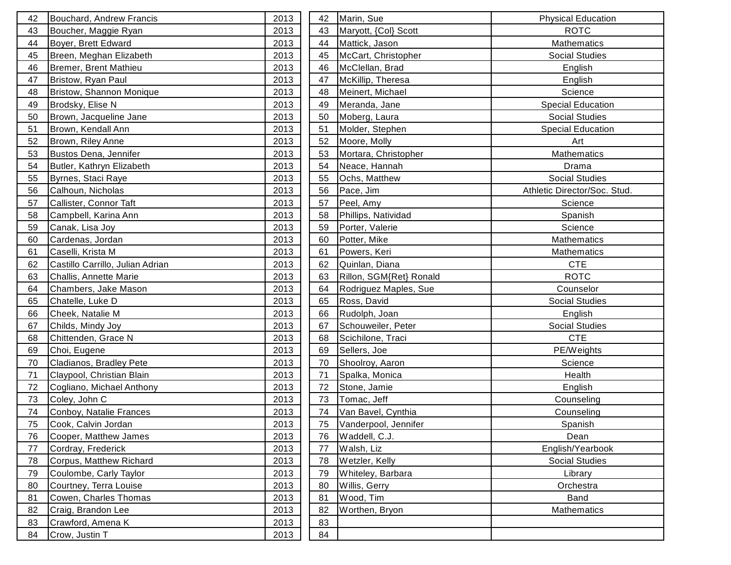| 42 | Bouchard, Andrew Francis         | 2013 | 42 | Marin, Sue              | <b>Physical Education</b>    |
|----|----------------------------------|------|----|-------------------------|------------------------------|
| 43 | Boucher, Maggie Ryan             | 2013 | 43 | Maryott, {Col} Scott    | <b>ROTC</b>                  |
| 44 | Boyer, Brett Edward              | 2013 | 44 | Mattick, Jason          | Mathematics                  |
| 45 | Breen, Meghan Elizabeth          | 2013 | 45 | McCart, Christopher     | <b>Social Studies</b>        |
| 46 | Bremer, Brent Mathieu            | 2013 | 46 | McClellan, Brad         | English                      |
| 47 | Bristow, Ryan Paul               | 2013 | 47 | McKillip, Theresa       | English                      |
| 48 | Bristow, Shannon Monique         | 2013 | 48 | Meinert, Michael        | Science                      |
| 49 | Brodsky, Elise N                 | 2013 | 49 | Meranda, Jane           | <b>Special Education</b>     |
| 50 | Brown, Jacqueline Jane           | 2013 | 50 | Moberg, Laura           | <b>Social Studies</b>        |
| 51 | Brown, Kendall Ann               | 2013 | 51 | Molder, Stephen         | <b>Special Education</b>     |
| 52 | Brown, Riley Anne                | 2013 | 52 | Moore, Molly            | Art                          |
| 53 | Bustos Dena, Jennifer            | 2013 | 53 | Mortara, Christopher    | Mathematics                  |
| 54 | Butler, Kathryn Elizabeth        | 2013 | 54 | Neace, Hannah           | Drama                        |
| 55 | Byrnes, Staci Raye               | 2013 | 55 | Ochs, Matthew           | <b>Social Studies</b>        |
| 56 | Calhoun, Nicholas                | 2013 | 56 | Pace, Jim               | Athletic Director/Soc. Stud. |
| 57 | Callister, Connor Taft           | 2013 | 57 | Peel, Amy               | Science                      |
| 58 | Campbell, Karina Ann             | 2013 | 58 | Phillips, Natividad     | Spanish                      |
| 59 | Canak, Lisa Joy                  | 2013 | 59 | Porter, Valerie         | Science                      |
| 60 | Cardenas, Jordan                 | 2013 | 60 | Potter, Mike            | <b>Mathematics</b>           |
| 61 | Caselli, Krista M                | 2013 | 61 | Powers, Keri            | <b>Mathematics</b>           |
| 62 | Castillo Carrillo, Julian Adrian | 2013 | 62 | Quinlan, Diana          | <b>CTE</b>                   |
| 63 | Challis, Annette Marie           | 2013 | 63 | Rillon, SGM{Ret} Ronald | <b>ROTC</b>                  |
| 64 | Chambers, Jake Mason             | 2013 | 64 | Rodriguez Maples, Sue   | Counselor                    |
| 65 | Chatelle, Luke D                 | 2013 | 65 | Ross, David             | <b>Social Studies</b>        |
| 66 | Cheek, Natalie M                 | 2013 | 66 | Rudolph, Joan           | English                      |
| 67 | Childs, Mindy Joy                | 2013 | 67 | Schouweiler, Peter      | Social Studies               |
| 68 | Chittenden, Grace N              | 2013 | 68 | Scichilone, Traci       | <b>CTE</b>                   |
| 69 | Choi, Eugene                     | 2013 | 69 | Sellers, Joe            | PE/Weights                   |
| 70 | Cladianos, Bradley Pete          | 2013 | 70 | Shoolroy, Aaron         | Science                      |
| 71 | Claypool, Christian Blain        | 2013 | 71 | Spalka, Monica          | Health                       |
| 72 | Cogliano, Michael Anthony        | 2013 | 72 | Stone, Jamie            | English                      |
| 73 | Coley, John C                    | 2013 | 73 | Tomac, Jeff             | Counseling                   |
| 74 | Conboy, Natalie Frances          | 2013 | 74 | Van Bavel, Cynthia      | Counseling                   |
| 75 | Cook, Calvin Jordan              | 2013 | 75 | Vanderpool, Jennifer    | Spanish                      |
| 76 | Cooper, Matthew James            | 2013 | 76 | Waddell, C.J.           | Dean                         |
| 77 | Cordray, Frederick               | 2013 | 77 | Walsh, Liz              | English/Yearbook             |
| 78 | Corpus, Matthew Richard          | 2013 | 78 | Wetzler, Kelly          | <b>Social Studies</b>        |
| 79 | Coulombe, Carly Taylor           | 2013 | 79 | Whiteley, Barbara       | Library                      |
| 80 | Courtney, Terra Louise           | 2013 | 80 | Willis, Gerry           | Orchestra                    |
| 81 | Cowen, Charles Thomas            | 2013 | 81 | Wood, Tim               | Band                         |
| 82 | Craig, Brandon Lee               | 2013 | 82 | Worthen, Bryon          | Mathematics                  |
| 83 | Crawford, Amena K                | 2013 | 83 |                         |                              |
| 84 | Crow, Justin T                   | 2013 | 84 |                         |                              |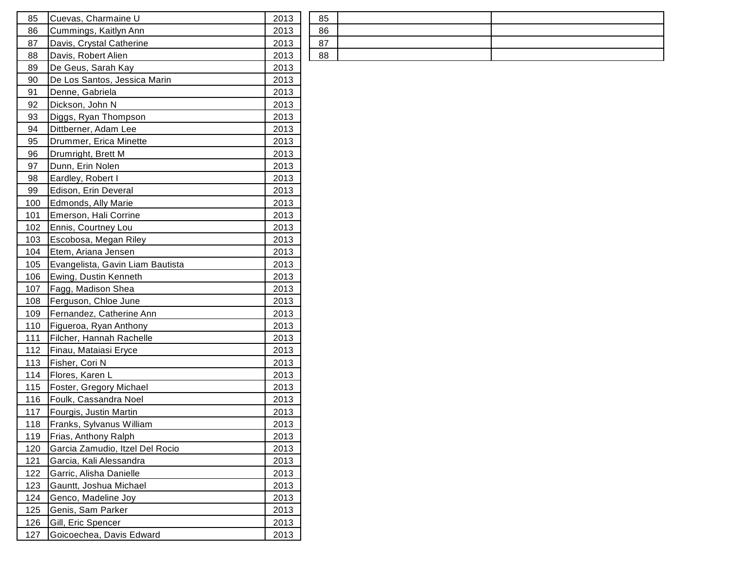| 85  | Cuevas, Charmaine U              | 2013 | 85 |
|-----|----------------------------------|------|----|
| 86  | Cummings, Kaitlyn Ann            | 2013 | 86 |
| 87  | Davis, Crystal Catherine         | 2013 | 87 |
| 88  | Davis, Robert Alien              | 2013 | 88 |
| 89  | De Geus, Sarah Kay               | 2013 |    |
| 90  | De Los Santos, Jessica Marin     | 2013 |    |
| 91  | Denne, Gabriela                  | 2013 |    |
| 92  | Dickson, John N                  | 2013 |    |
| 93  | Diggs, Ryan Thompson             | 2013 |    |
| 94  | Dittberner, Adam Lee             | 2013 |    |
| 95  | Drummer, Erica Minette           | 2013 |    |
| 96  | Drumright, Brett M               | 2013 |    |
| 97  | Dunn, Erin Nolen                 | 2013 |    |
| 98  | Eardley, Robert I                | 2013 |    |
| 99  | Edison, Erin Deveral             | 2013 |    |
| 100 | Edmonds, Ally Marie              | 2013 |    |
| 101 | Emerson, Hali Corrine            | 2013 |    |
| 102 | Ennis, Courtney Lou              | 2013 |    |
| 103 | Escobosa, Megan Riley            | 2013 |    |
| 104 | Etem, Ariana Jensen              | 2013 |    |
| 105 | Evangelista, Gavin Liam Bautista | 2013 |    |
| 106 | Ewing, Dustin Kenneth            | 2013 |    |
| 107 | Fagg, Madison Shea               | 2013 |    |
| 108 | Ferguson, Chloe June             | 2013 |    |
| 109 | Fernandez, Catherine Ann         | 2013 |    |
| 110 | Figueroa, Ryan Anthony           | 2013 |    |
| 111 | Filcher, Hannah Rachelle         | 2013 |    |
| 112 | Finau, Mataiasi Eryce            | 2013 |    |
| 113 | Fisher, Cori N                   | 2013 |    |
| 114 | Flores, Karen L                  | 2013 |    |
| 115 | Foster, Gregory Michael          | 2013 |    |
| 116 | Foulk, Cassandra Noel            | 2013 |    |
| 117 | Fourgis, Justin Martin           | 2013 |    |
| 118 | Franks, Sylvanus William         | 2013 |    |
| 119 | Frias, Anthony Ralph             | 2013 |    |
| 120 | Garcia Zamudio, Itzel Del Rocio  | 2013 |    |
| 121 | Garcia, Kali Alessandra          | 2013 |    |
| 122 | Garric, Alisha Danielle          | 2013 |    |
| 123 | Gauntt, Joshua Michael           | 2013 |    |
| 124 | Genco, Madeline Joy              | 2013 |    |
| 125 | Genis, Sam Parker                | 2013 |    |
| 126 | Gill, Eric Spencer               | 2013 |    |
| 127 | Goicoechea, Davis Edward         | 2013 |    |

| 85       |  |
|----------|--|
| 86       |  |
| 07<br>ັບ |  |
| 88       |  |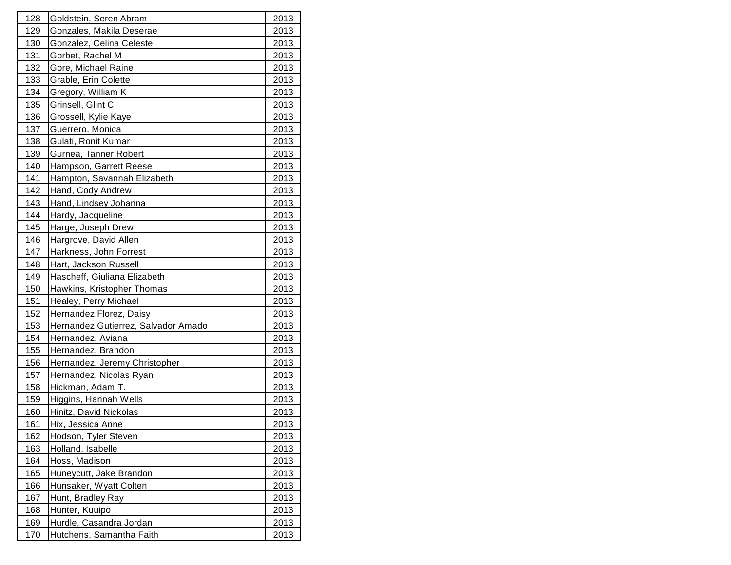| 128        | Goldstein, Seren Abram              | 2013         |
|------------|-------------------------------------|--------------|
| 129        | Gonzales, Makila Deserae            | 2013         |
| 130        | Gonzalez, Celina Celeste            | 2013         |
| 131        | Gorbet, Rachel M                    | 2013         |
| 132        | Gore, Michael Raine                 | 2013         |
| 133        | Grable, Erin Colette                | 2013         |
| 134        | Gregory, William K                  | 2013         |
| 135        | Grinsell, Glint C                   | 2013         |
| 136        | Grossell, Kylie Kaye                | 2013         |
| 137        | Guerrero, Monica                    | 2013         |
| 138        | Gulati, Ronit Kumar                 | 2013         |
| 139        | Gurnea, Tanner Robert               | 2013         |
| 140        | Hampson, Garrett Reese              | 2013         |
| 141        | Hampton, Savannah Elizabeth         | 2013         |
| 142        | Hand, Cody Andrew                   | 2013         |
| 143        | Hand, Lindsey Johanna               | 2013         |
| 144        | Hardy, Jacqueline                   | 2013         |
| 145        | Harge, Joseph Drew                  | 2013         |
| 146        | Hargrove, David Allen               | 2013         |
| 147        | Harkness, John Forrest              | 2013         |
| 148        | Hart, Jackson Russell               | 2013         |
| 149        | Hascheff, Giuliana Elizabeth        | <u> 2013</u> |
| 150        | Hawkins, Kristopher Thomas          | 2013         |
| 151        | Healey, Perry Michael               | 2013         |
| 152        | Hernandez Florez, Daisy             | 2013         |
| 153        | Hernandez Gutierrez, Salvador Amado | 2013         |
| 154        | Hernandez, Aviana                   | 2013         |
| 155        | Hernandez, Brandon                  | 2013         |
| 156        | Hernandez, Jeremy Christopher       | 2013         |
| 157        | Hernandez, Nicolas Ryan             | 2013         |
| 158        | Hickman, Adam T.                    | 2013         |
| 159        | Higgins, Hannah Wells               | 2013         |
| 160        | Hinitz, David Nickolas              | 2013         |
| <u>161</u> | Hix, Jessica Anne                   | 2013         |
| 162        | Hodson, Tyler Steven                | 2013         |
| 163        | Holland, Isabelle                   | 2013         |
| 164        | Hoss, Madison                       | 2013         |
| 165        | Huneycutt, Jake Brandon             | 2013         |
| 166        | Hunsaker, Wyatt Colten              | 2013         |
| 167        | Hunt, Bradley Ray                   | 2013         |
| 168        | Hunter, Kuuipo                      | 2013         |
| 169        | Hurdle, Casandra Jordan             | 2013         |
| 170        | Hutchens, Samantha Faith            | 2013         |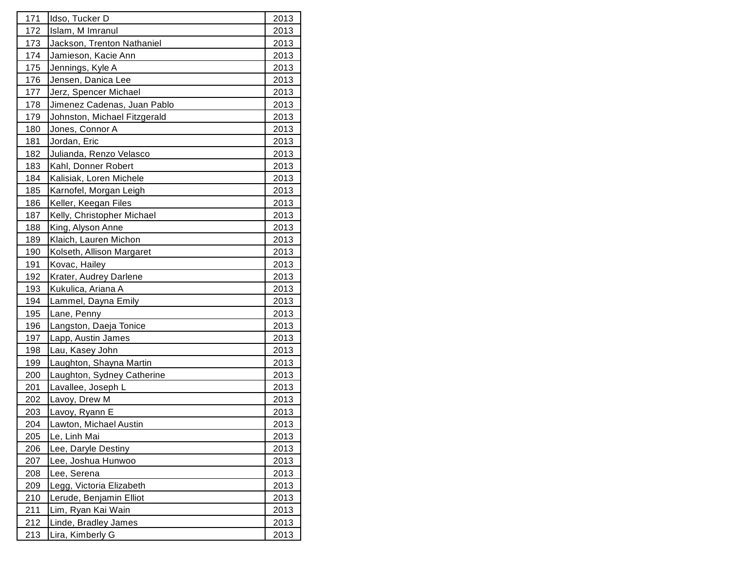| 171        | Idso, Tucker D               | 2013        |
|------------|------------------------------|-------------|
| 172        | Islam, M Imranul             | 2013        |
| 173        | Jackson, Trenton Nathaniel   | 2013        |
| 174        | Jamieson, Kacie Ann          | 2013        |
| 175        | Jennings, Kyle A             | 2013        |
| 176        | Jensen, Danica Lee           | 2013        |
| 177        | Jerz, Spencer Michael        | 2013        |
| 178        | Jimenez Cadenas, Juan Pablo  | 2013        |
| 179        | Johnston, Michael Fitzgerald | 2013        |
| 180        | Jones, Connor A              | 2013        |
| 181        | Jordan, Eric                 | 2013        |
| 182        | Julianda, Renzo Velasco      | 2013        |
| 183        | Kahl, Donner Robert          | 2013        |
| 184        | Kalisiak, Loren Michele      | 2013        |
| 185        | Karnofel, Morgan Leigh       | 2013        |
| 186        | Keller, Keegan Files         | 2013        |
| 187        | Kelly, Christopher Michael   | 2013        |
| 188        | King, Alyson Anne            | 2013        |
| 189        | Klaich, Lauren Michon        | 2013        |
| 190        | Kolseth, Allison Margaret    | 2013        |
| 191        | Kovac, Hailey                | 2013        |
| 192        | Krater, Audrey Darlene       | 2013        |
| 193        | Kukulica, Ariana A           | 2013        |
| 194        | Lammel, Dayna Emily          | 2013        |
| 195        | Lane, Penny                  | 2013        |
| 196        | Langston, Daeja Tonice       | 2013        |
| 197        | Lapp, Austin James           | 2013        |
| 198        | Lau, Kasey John              | 2013        |
| 199        | Laughton, Shayna Martin      | 2013        |
| <u>200</u> | Laughton, Sydney Catherine   | 2013        |
| 201        | Lavallee, Joseph L           | 2013        |
| 202        | Lavoy, Drew M                | 2013        |
| 203        | Lavoy, Ryann E               | 2013        |
| <u>204</u> | Lawton, Michael Austin       | 2013        |
| 205        | Le, Linh Mai                 | <u>2013</u> |
| 206        | Lee, Daryle Destiny          | 2013        |
| 207        | Lee, Joshua Hunwoo           | 2013        |
| 208        | Lee, Serena                  | 2013        |
| 209        | Legg, Victoria Elizabeth     | 2013        |
| <u>210</u> | Lerude, Benjamin Elliot      | 2013        |
| 211        | Lim, Ryan Kai Wain           | 2013        |
| 212        | Linde, Bradley James         | 2013        |
| <u>213</u> | Lira, Kimberly G             | 2013        |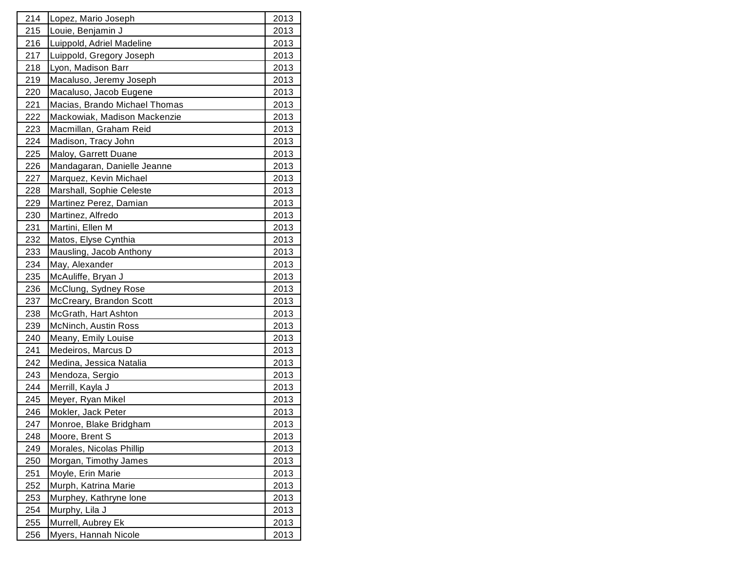| 214        | Lopez, Mario Joseph           | 2013        |
|------------|-------------------------------|-------------|
| 215        | Louie, Benjamin J             | 2013        |
| 216        | Luippold, Adriel Madeline     | 2013        |
| 217        | Luippold, Gregory Joseph      | 2013        |
| 218        | Lyon, Madison Barr            | 2013        |
| 219        | Macaluso, Jeremy Joseph       | 2013        |
| 220        | Macaluso, Jacob Eugene        | 2013        |
| 221        | Macias, Brando Michael Thomas | 2013        |
| 222        | Mackowiak, Madison Mackenzie  | 2013        |
| 223        | Macmillan, Graham Reid        | 2013        |
| 224        | Madison, Tracy John           | 2013        |
| 225        | Maloy, Garrett Duane          | 2013        |
| 226        | Mandagaran, Danielle Jeanne   | 2013        |
| 227        | Marquez, Kevin Michael        | 2013        |
| 228        | Marshall, Sophie Celeste      | 2013        |
| 229        | Martinez Perez, Damian        | 2013        |
| 230        | Martinez, Alfredo             | 2013        |
| 231        | Martini, Ellen M              | 2013        |
| 232        | Matos, Elyse Cynthia          | 2013        |
| 233        | Mausling, Jacob Anthony       | 2013        |
| 234        | May, Alexander                | 2013        |
| 235        | McAuliffe, Bryan J            | 2013        |
| 236        | McClung, Sydney Rose          | 2013        |
| 237        | McCreary, Brandon Scott       | 2013        |
| 238        | McGrath, Hart Ashton          | 2013        |
| 239        | McNinch, Austin Ross          | 2013        |
| 240        | Meany, Emily Louise           | 2013        |
| 241        | Medeiros, Marcus D            | 2013        |
| 242        | Medina, Jessica Natalia       | 2013        |
| 243        | Mendoza, Sergio               | 2013        |
| 244        | Merrill, Kayla J              | 2013        |
| 245        | Meyer, Ryan Mikel             | 2013        |
| 246        | Mokler, Jack Peter            | 2013        |
| 247        | Monroe, Blake Bridgham        | <u>2013</u> |
| 248        | Moore, Brent S                | <u>2013</u> |
| 249        | Morales, Nicolas Phillip      | 2013        |
| 250        | Morgan, Timothy James         | <u>2013</u> |
| 251        | Moyle, Erin Marie             | 2013        |
| <u>252</u> | Murph, Katrina Marie          | 2013        |
| <b>253</b> | Murphey, Kathryne lone        | 2013        |
| 254        | Murphy, Lila J                | 2013        |
| 255        | Murrell, Aubrey Ek            | 2013        |
| 256        | Myers, Hannah Nicole          | 2013        |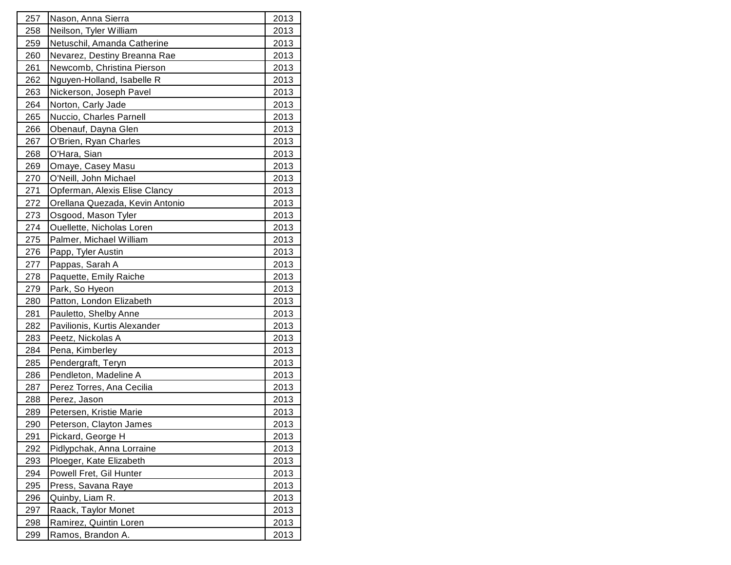| 257        | Nason, Anna Sierra              | 2013        |
|------------|---------------------------------|-------------|
| 258        | Neilson, Tyler William          | 2013        |
| 259        | Netuschil, Amanda Catherine     | 2013        |
| 260        | Nevarez, Destiny Breanna Rae    | 2013        |
| 261        | Newcomb, Christina Pierson      | 2013        |
| 262        | Nguyen-Holland, Isabelle R      | 2013        |
| 263        | Nickerson, Joseph Pavel         | 2013        |
| 264        | Norton, Carly Jade              | 2013        |
| 265        | Nuccio, Charles Parnell         | 2013        |
| 266        | Obenauf, Dayna Glen             | 2013        |
| 267        | O'Brien, Ryan Charles           | 2013        |
| 268        | O'Hara, Sian                    | 2013        |
| 269        | Omaye, Casey Masu               | 2013        |
| 270        | O'Neill, John Michael           | 2013        |
| 271        | Opferman, Alexis Elise Clancy   | 2013        |
| 272        | Orellana Quezada, Kevin Antonio | 2013        |
| 273        | Osgood, Mason Tyler             | 2013        |
| 274        | Ouellette, Nicholas Loren       | 2013        |
| 275        | Palmer, Michael William         | 2013        |
| 276        | Papp, Tyler Austin              | 2013        |
| 277        | Pappas, Sarah A                 | 2013        |
| 278        | Paquette, Emily Raiche          | 2013        |
| 279        | Park, So Hyeon                  | 2013        |
| 280        | Patton, London Elizabeth        | 2013        |
| 281        | Pauletto, Shelby Anne           | 2013        |
| 282        | Pavilionis, Kurtis Alexander    | 2013        |
| 283        | Peetz, Nickolas A               | 2013        |
| 284        | Pena, Kimberley                 | 2013        |
| 285        | Pendergraft, Teryn              | 2013        |
| 286        | Pendleton, Madeline A           | 2013        |
| 287        | Perez Torres, Ana Cecilia       | 2013        |
| 288        | Perez, Jason                    | 2013        |
| 289        | Petersen, Kristie Marie         | 2013        |
| <u>290</u> | Peterson, Clayton James         | 2013        |
| 291        | Pickard, George H               | <u>2013</u> |
| 292        | Pidlypchak, Anna Lorraine       | 2013        |
| 293        | Ploeger, Kate Elizabeth         | 2013        |
| 294        | Powell Fret, Gil Hunter         | 2013        |
| 295        | Press, Savana Raye              | 2013        |
| 296        | Quinby, Liam R.                 | 2013        |
| 297        | Raack, Taylor Monet             | 2013        |
| 298        | Ramirez, Quintin Loren          | 2013        |
| 299        | Ramos, Brandon A.               | 2013        |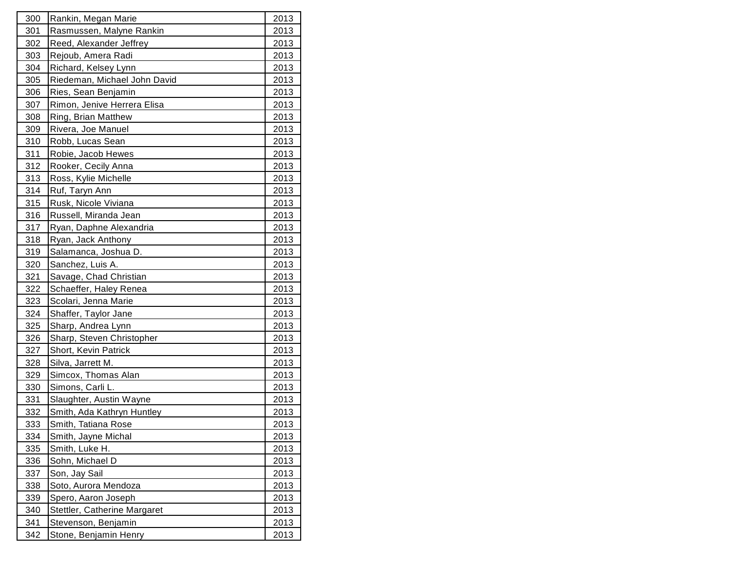| 300        | Rankin, Megan Marie          | 2013        |
|------------|------------------------------|-------------|
| 301        | Rasmussen, Malyne Rankin     | 2013        |
| 302        | Reed, Alexander Jeffrey      | 2013        |
| 303        | Rejoub, Amera Radi           | 2013        |
| 304        | Richard, Kelsey Lynn         | 2013        |
| 305        | Riedeman, Michael John David | 2013        |
| 306        | Ries, Sean Benjamin          | 2013        |
| 307        | Rimon, Jenive Herrera Elisa  | 2013        |
| 308        | Ring, Brian Matthew          | 2013        |
| 309        | Rivera, Joe Manuel           | 2013        |
| 310        | Robb, Lucas Sean             | 2013        |
| 311        | Robie, Jacob Hewes           | 2013        |
| 312        | Rooker, Cecily Anna          | 2013        |
| 313        | Ross, Kylie Michelle         | 2013        |
| 314        | Ruf, Taryn Ann               | 2013        |
| 315        | Rusk, Nicole Viviana         | 2013        |
| 316        | Russell, Miranda Jean        | 2013        |
| 317        | Ryan, Daphne Alexandria      | 2013        |
| 318        | Ryan, Jack Anthony           | 2013        |
| 319        | Salamanca, Joshua D.         | 2013        |
| 320        | Sanchez, Luis A.             | 2013        |
| 321        | Savage, Chad Christian       | 2013        |
| 322        | Schaeffer, Haley Renea       | 2013        |
| 323        | Scolari, Jenna Marie         | 2013        |
| 324        | Shaffer, Taylor Jane         | 2013        |
| 325        | Sharp, Andrea Lynn           | 2013        |
| 326        | Sharp, Steven Christopher    | 2013        |
| 327        | Short, Kevin Patrick         | 2013        |
| 328        | Silva, Jarrett M.            | 2013        |
| 329        | Simcox, Thomas Alan          | 2013        |
| 330        | Simons, Carli L.             | 2013        |
| 331        | Slaughter, Austin Wayne      | 2013        |
| 332        | Smith, Ada Kathryn Huntley   | 2013        |
| <u>333</u> | Smith, Tatiana Rose          | 2013        |
| 334        | Smith, Jayne Michal          | <u>2013</u> |
| 335        | Smith, Luke H.               | 2013        |
| 336        | Sohn, Michael D              | 2013        |
| 337        | Son, Jay Sail                | 2013        |
| 338        | Soto, Aurora Mendoza         | 2013        |
| 339        | Spero, Aaron Joseph          | 2013        |
| 340        | Stettler, Catherine Margaret | 2013        |
| 341        | Stevenson, Benjamin          | 2013        |
| 342        | Stone, Benjamin Henry        | 2013        |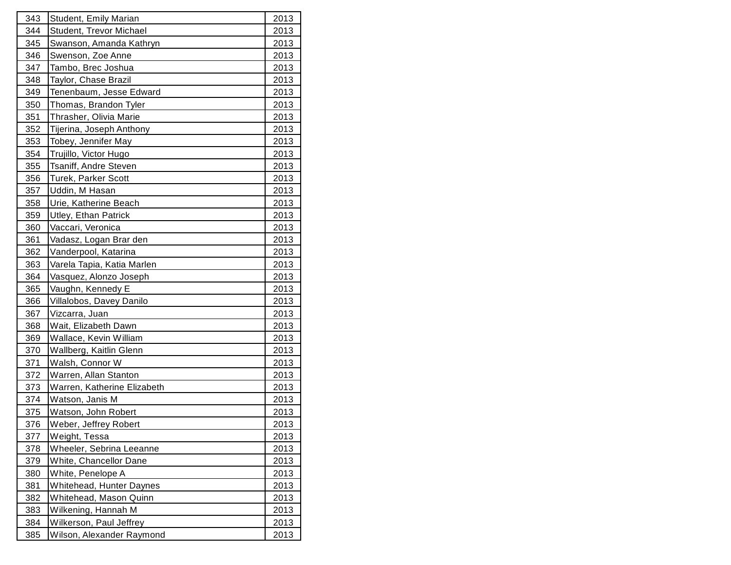| 343 | <b>Student, Emily Marian</b> | 2013        |
|-----|------------------------------|-------------|
| 344 | Student, Trevor Michael      | 2013        |
| 345 | Swanson, Amanda Kathryn      | 2013        |
| 346 | Swenson, Zoe Anne            | 2013        |
| 347 | Tambo, Brec Joshua           | 2013        |
| 348 | Taylor, Chase Brazil         | 2013        |
| 349 | Tenenbaum, Jesse Edward      | 2013        |
| 350 | Thomas, Brandon Tyler        | 2013        |
| 351 | Thrasher, Olivia Marie       | 2013        |
| 352 | Tijerina, Joseph Anthony     | 2013        |
| 353 | Tobey, Jennifer May          | 2013        |
| 354 | Trujillo, Victor Hugo        | 2013        |
| 355 | Tsaniff, Andre Steven        | 2013        |
| 356 | Turek, Parker Scott          | 2013        |
| 357 | Uddin, M Hasan               | 2013        |
| 358 | Urie, Katherine Beach        | 2013        |
| 359 | <b>Utley, Ethan Patrick</b>  | 2013        |
| 360 | Vaccari, Veronica            | 2013        |
| 361 | Vadasz, Logan Brar den       | 2013        |
| 362 | Vanderpool, Katarina         | 2013        |
| 363 | Varela Tapia, Katia Marlen   | 2013        |
| 364 | Vasquez, Alonzo Joseph       | 2013        |
| 365 | Vaughn, Kennedy E            | 2013        |
| 366 | Villalobos, Davey Danilo     | 2013        |
| 367 | Vizcarra, Juan               | 2013        |
| 368 | Wait, Elizabeth Dawn         | 2013        |
| 369 | Wallace, Kevin William       | 2013        |
| 370 | Wallberg, Kaitlin Glenn      | 2013        |
| 371 | Walsh, Connor W              | 2013        |
| 372 | Warren, Allan Stanton        | 2013        |
| 373 | Warren, Katherine Elizabeth  | 2013        |
| 374 | Watson, Janis M              | 2013        |
| 375 | Watson, John Robert          | 2013        |
| 376 | Weber, Jeffrey Robert        | 2013        |
| 377 | Weight, Tessa                | <u>2013</u> |
| 378 | Wheeler, Sebrina Leeanne     | 2013        |
| 379 | White, Chancellor Dane       | 2013        |
| 380 | White, Penelope A            | 2013        |
| 381 | Whitehead, Hunter Daynes     | 2013        |
| 382 | Whitehead, Mason Quinn       | 2013        |
| 383 | Wilkening, Hannah M          | 2013        |
| 384 | Wilkerson, Paul Jeffrey      | 2013        |
| 385 | Wilson, Alexander Raymond    | 2013        |